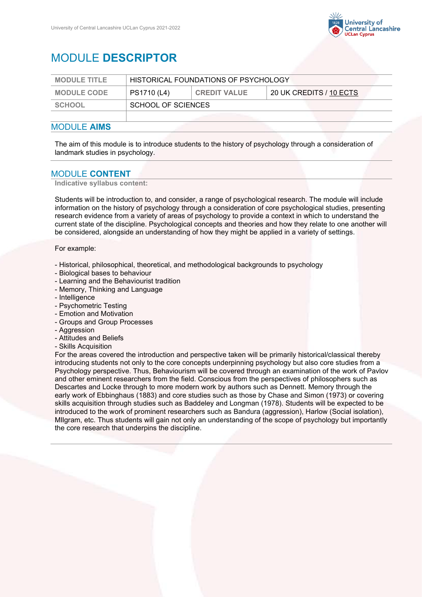

# MODULE **DESCRIPTOR**

| <b>MODULE TITLE</b> | HISTORICAL FOUNDATIONS OF PSYCHOLOGY |                     |                         |
|---------------------|--------------------------------------|---------------------|-------------------------|
| <b>MODULE CODE</b>  | PS1710 (L4)                          | <b>CREDIT VALUE</b> | 20 UK CREDITS / 10 ECTS |
| SCHOOL              | SCHOOL OF SCIENCES                   |                     |                         |
|                     |                                      |                     |                         |

#### MODULE **AIMS**

The aim of this module is to introduce students to the history of psychology through a consideration of landmark studies in psychology.

### MODULE **CONTENT**

**Indicative syllabus content:**

Students will be introduction to, and consider, a range of psychological research. The module will include information on the history of psychology through a consideration of core psychological studies, presenting research evidence from a variety of areas of psychology to provide a context in which to understand the current state of the discipline. Psychological concepts and theories and how they relate to one another will be considered, alongside an understanding of how they might be applied in a variety of settings.

For example:

- Historical, philosophical, theoretical, and methodological backgrounds to psychology
- Biological bases to behaviour
- Learning and the Behaviourist tradition
- Memory, Thinking and Language
- Intelligence
- Psychometric Testing
- Emotion and Motivation
- Groups and Group Processes
- Aggression
- Attitudes and Beliefs
- Skills Acquisition

For the areas covered the introduction and perspective taken will be primarily historical/classical thereby introducing students not only to the core concepts underpinning psychology but also core studies from a Psychology perspective. Thus, Behaviourism will be covered through an examination of the work of Pavlov and other eminent researchers from the field. Conscious from the perspectives of philosophers such as Descartes and Locke through to more modern work by authors such as Dennett. Memory through the early work of Ebbinghaus (1883) and core studies such as those by Chase and Simon (1973) or covering skills acquisition through studies such as Baddeley and Longman (1978). Students will be expected to be introduced to the work of prominent researchers such as Bandura (aggression), Harlow (Social isolation), MIlgram, etc. Thus students will gain not only an understanding of the scope of psychology but importantly the core research that underpins the discipline.